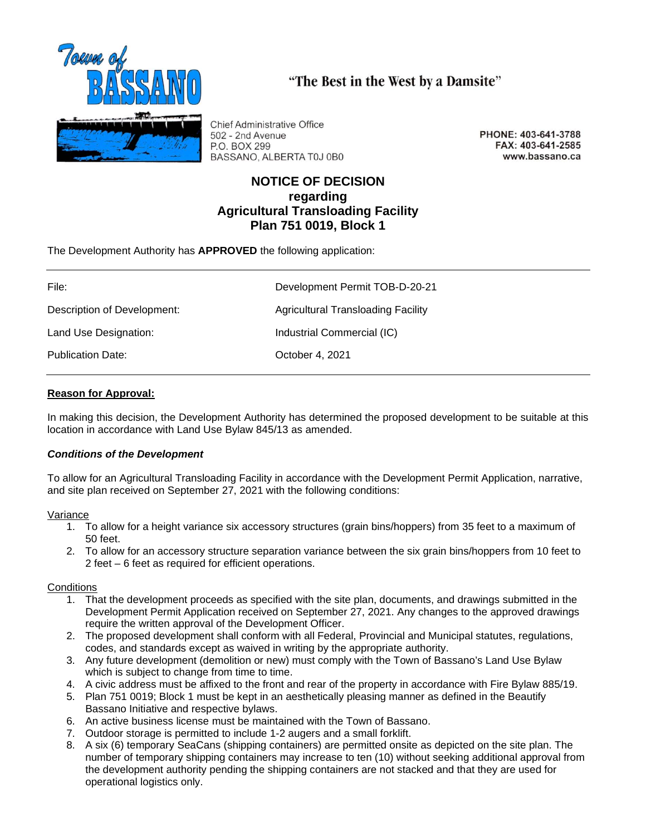

**Chief Administrative Office** 502 - 2nd Avenue P.O. BOX 299 BASSANO, ALBERTA T0J 0B0

PHONE: 403-641-3788 FAX: 403-641-2585 www.bassano.ca

# **NOTICE OF DECISION regarding Agricultural Transloading Facility Plan 751 0019, Block 1**

"The Best in the West by a Damsite"

The Development Authority has **APPROVED** the following application:

| File:                       | Development Permit TOB-D-20-21            |
|-----------------------------|-------------------------------------------|
| Description of Development: | <b>Agricultural Transloading Facility</b> |
|                             |                                           |
| Land Use Designation:       | Industrial Commercial (IC)                |
| <b>Publication Date:</b>    | October 4, 2021                           |

## **Reason for Approval:**

In making this decision, the Development Authority has determined the proposed development to be suitable at this location in accordance with Land Use Bylaw 845/13 as amended.

### *Conditions of the Development*

To allow for an Agricultural Transloading Facility in accordance with the Development Permit Application, narrative, and site plan received on September 27, 2021 with the following conditions:

### Variance

- 1. To allow for a height variance six accessory structures (grain bins/hoppers) from 35 feet to a maximum of 50 feet.
- 2. To allow for an accessory structure separation variance between the six grain bins/hoppers from 10 feet to 2 feet – 6 feet as required for efficient operations.

### **Conditions**

- 1. That the development proceeds as specified with the site plan, documents, and drawings submitted in the Development Permit Application received on September 27, 2021. Any changes to the approved drawings require the written approval of the Development Officer.
- 2. The proposed development shall conform with all Federal, Provincial and Municipal statutes, regulations, codes, and standards except as waived in writing by the appropriate authority.
- 3. Any future development (demolition or new) must comply with the Town of Bassano's Land Use Bylaw which is subject to change from time to time.
- 4. A civic address must be affixed to the front and rear of the property in accordance with Fire Bylaw 885/19.
- 5. Plan 751 0019; Block 1 must be kept in an aesthetically pleasing manner as defined in the Beautify Bassano Initiative and respective bylaws.
- 6. An active business license must be maintained with the Town of Bassano.
- 7. Outdoor storage is permitted to include 1-2 augers and a small forklift.
- 8. A six (6) temporary SeaCans (shipping containers) are permitted onsite as depicted on the site plan. The number of temporary shipping containers may increase to ten (10) without seeking additional approval from the development authority pending the shipping containers are not stacked and that they are used for operational logistics only.